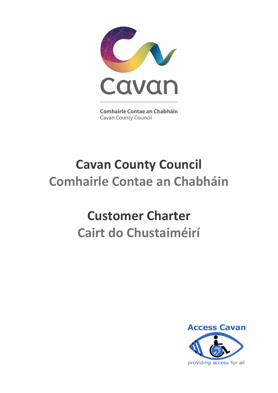

**Comhairle Contae an Chabháin Cavan County Council** 

# **Cavan County Council Comhairle Contae an Chabháin**

# **Customer Charter Cairt do Chustaiméirí**

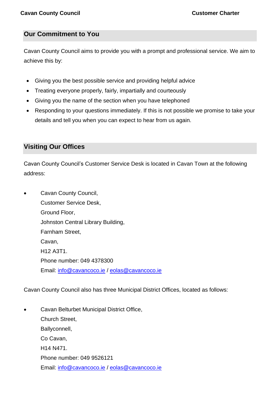### **Our Commitment to You**

Cavan County Council aims to provide you with a prompt and professional service. We aim to achieve this by:

- Giving you the best possible service and providing helpful advice
- Treating everyone properly, fairly, impartially and courteously
- Giving you the name of the section when you have telephoned
- Responding to your questions immediately. If this is not possible we promise to take your details and tell you when you can expect to hear from us again.

# **Visiting Our Offices**

Cavan County Council's Customer Service Desk is located in Cavan Town at the following address:

• Cavan County Council, Customer Service Desk, Ground Floor, Johnston Central Library Building, Farnham Street, Cavan, H12 A3T1. Phone number: 049 4378300 Email: [info@cavancoco.ie](mailto:info@cavancoco.ie) / [eolas@cavancoco.ie](mailto:eolas@cavancoco.ie)

Cavan County Council also has three Municipal District Offices, located as follows:

• Cavan Belturbet Municipal District Office, Church Street, Ballyconnell, Co Cavan, H14 N471. Phone number: 049 9526121 Email: [info@cavancoco.ie](mailto:info@cavancoco.ie) / [eolas@cavancoco.ie](mailto:eolas@cavancoco.ie)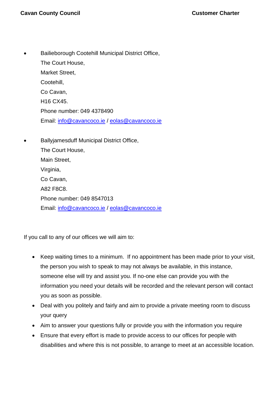- Bailieborough Cootehill Municipal District Office, The Court House, Market Street, Cootehill, Co Cavan, H16 CX45. Phone number: 049 4378490 Email: [info@cavancoco.ie](mailto:info@cavancoco.ie) / [eolas@cavancoco.ie](mailto:eolas@cavancoco.ie)
	- Ballyjamesduff Municipal District Office, The Court House, Main Street, Virginia, Co Cavan, A82 F8C8.

Phone number: 049 8547013 Email: [info@cavancoco.ie](mailto:info@cavancoco.ie) / [eolas@cavancoco.ie](mailto:eolas@cavancoco.ie)

If you call to any of our offices we will aim to:

- Keep waiting times to a minimum. If no appointment has been made prior to your visit, the person you wish to speak to may not always be available, in this instance, someone else will try and assist you. If no-one else can provide you with the information you need your details will be recorded and the relevant person will contact you as soon as possible.
- Deal with you politely and fairly and aim to provide a private meeting room to discuss your query
- Aim to answer your questions fully or provide you with the information you require
- Ensure that every effort is made to provide access to our offices for people with disabilities and where this is not possible, to arrange to meet at an accessible location.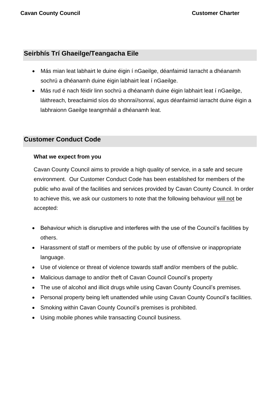# **Seirbhís Trí Ghaeilge/Teangacha Eile**

- Más mian leat labhairt le duine éigin í nGaeilge, déanfaimid Iarracht a dhéanamh sochrú a dhéanamh duine éigin labhairt leat í nGaeilge.
- Más rud é nach féidir linn sochrú a dhéanamh duine éigin labhairt leat í nGaeilge, láithreach, breacfaimid síos do shonraí/sonraí, agus déanfaimid iarracht duine éigin a labhraionn Gaeilge teangmháil a dhéanamh leat.

### **Customer Conduct Code**

#### **What we expect from you**

Cavan County Council aims to provide a high quality of service, in a safe and secure environment. Our Customer Conduct Code has been established for members of the public who avail of the facilities and services provided by Cavan County Council. In order to achieve this, we ask our customers to note that the following behaviour will not be accepted:

- Behaviour which is disruptive and interferes with the use of the Council's facilities by others.
- Harassment of staff or members of the public by use of offensive or inappropriate language.
- Use of violence or threat of violence towards staff and/or members of the public.
- Malicious damage to and/or theft of Cavan Council Council's property
- The use of alcohol and illicit drugs while using Cavan County Council's premises.
- Personal property being left unattended while using Cavan County Council's facilities.
- Smoking within Cavan County Council's premises is prohibited.
- Using mobile phones while transacting Council business.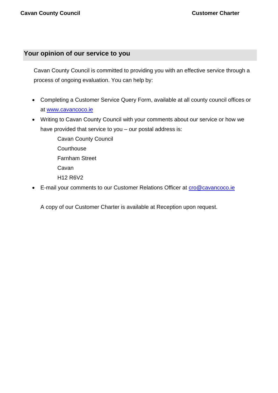## **Your opinion of our service to you**

Cavan County Council is committed to providing you with an effective service through a process of ongoing evaluation. You can help by:

- Completing a Customer Service Query Form, available at all county council offices or at [www.cavancoco.ie](https://www.cavancoco.ie/customer-service.htm)
- Writing to Cavan County Council with your comments about our service or how we have provided that service to you – our postal address is:

Cavan County Council **Courthouse** Farnham Street Cavan H12 R6V2

• E-mail your comments to our Customer Relations Officer at cro@cavancoco.ie

A copy of our Customer Charter is available at Reception upon request.